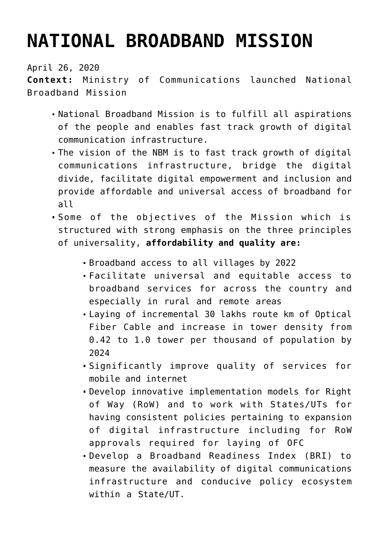## **[NATIONAL BROADBAND MISSION](https://journalsofindia.com/national-broadband-mission/)**

April 26, 2020

**Context:** Ministry of Communications launched National Broadband Mission

- National Broadband Mission is to fulfill all aspirations of the people and enables fast track growth of digital communication infrastructure.
- The vision of the NBM is to fast track growth of digital communications infrastructure, bridge the digital divide, facilitate digital empowerment and inclusion and provide affordable and universal access of broadband for all
- Some of the objectives of the Mission which is structured with strong emphasis on the three principles of universality, **affordability and quality are:**
	- Broadband access to all villages by 2022
	- Facilitate universal and equitable access to broadband services for across the country and especially in rural and remote areas
	- Laying of incremental 30 lakhs route km of Optical Fiber Cable and increase in tower density from 0.42 to 1.0 tower per thousand of population by 2024
	- Significantly improve quality of services for mobile and internet
	- Develop innovative implementation models for Right of Way (RoW) and to work with States/UTs for having consistent policies pertaining to expansion of digital infrastructure including for RoW approvals required for laying of OFC
	- Develop a Broadband Readiness Index (BRI) to measure the availability of digital communications infrastructure and conducive policy ecosystem within a State/UT.